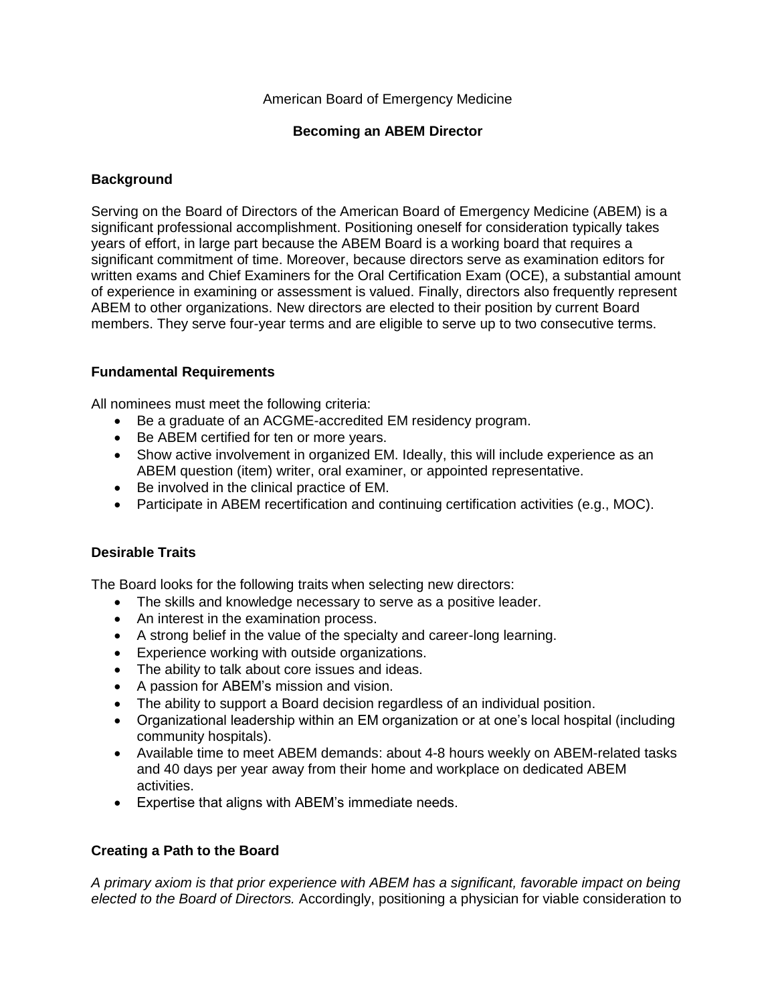### American Board of Emergency Medicine

#### **Becoming an ABEM Director**

### **Background**

Serving on the Board of Directors of the American Board of Emergency Medicine (ABEM) is a significant professional accomplishment. Positioning oneself for consideration typically takes years of effort, in large part because the ABEM Board is a working board that requires a significant commitment of time. Moreover, because directors serve as examination editors for written exams and Chief Examiners for the Oral Certification Exam (OCE), a substantial amount of experience in examining or assessment is valued. Finally, directors also frequently represent ABEM to other organizations. New directors are elected to their position by current Board members. They serve four-year terms and are eligible to serve up to two consecutive terms.

### **Fundamental Requirements**

All nominees must meet the following criteria:

- Be a graduate of an ACGME-accredited EM residency program.
- Be ABEM certified for ten or more years.
- Show active involvement in organized EM. Ideally, this will include experience as an ABEM question (item) writer, oral examiner, or appointed representative.
- Be involved in the clinical practice of EM.
- Participate in ABEM recertification and continuing certification activities (e.g., MOC).

# **Desirable Traits**

The Board looks for the following traits when selecting new directors:

- The skills and knowledge necessary to serve as a positive leader.
- An interest in the examination process.
- A strong belief in the value of the specialty and career-long learning.
- Experience working with outside organizations.
- The ability to talk about core issues and ideas.
- A passion for ABEM's mission and vision.
- The ability to support a Board decision regardless of an individual position.
- Organizational leadership within an EM organization or at one's local hospital (including community hospitals).
- Available time to meet ABEM demands: about 4-8 hours weekly on ABEM-related tasks and 40 days per year away from their home and workplace on dedicated ABEM activities.
- Expertise that aligns with ABEM's immediate needs.

# **Creating a Path to the Board**

*A primary axiom is that prior experience with ABEM has a significant, favorable impact on being elected to the Board of Directors.* Accordingly, positioning a physician for viable consideration to